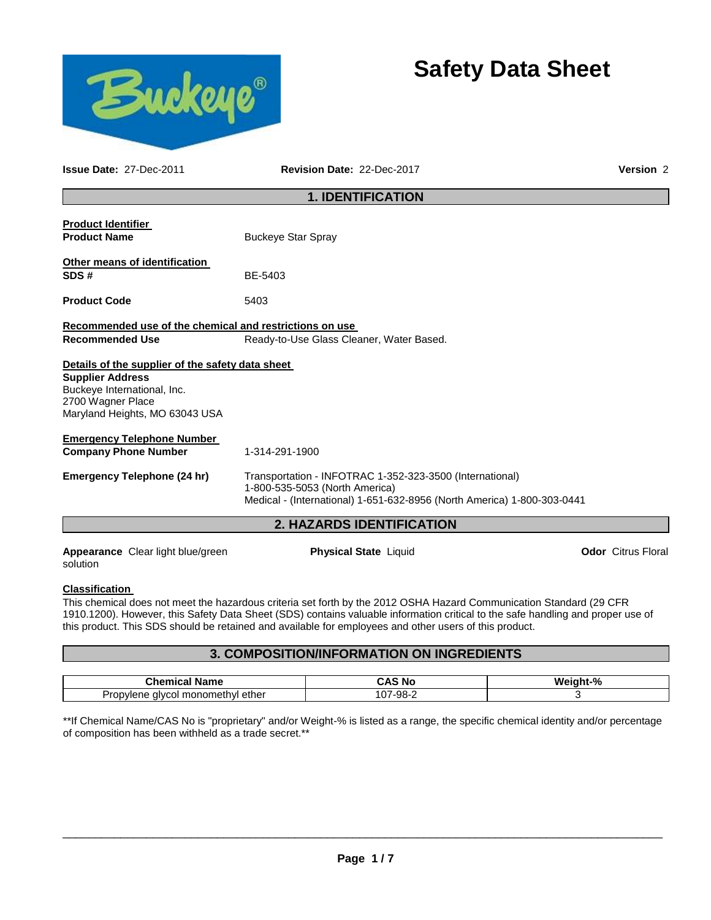



**Issue Date:** 27-Dec-2011 **Revision Date:** 22-Dec-2017 **Version** 2

# **1. IDENTIFICATION**

| <b>Product Identifier</b><br><b>Product Name</b>                                                              | <b>Buckeye Star Spray</b>                                                                                                                                             |                           |  |
|---------------------------------------------------------------------------------------------------------------|-----------------------------------------------------------------------------------------------------------------------------------------------------------------------|---------------------------|--|
| Other means of identification<br>SDS#                                                                         | BE-5403                                                                                                                                                               |                           |  |
| <b>Product Code</b>                                                                                           | 5403                                                                                                                                                                  |                           |  |
| Recommended use of the chemical and restrictions on use<br><b>Recommended Use</b>                             | Ready-to-Use Glass Cleaner, Water Based.                                                                                                                              |                           |  |
| Details of the supplier of the safety data sheet                                                              |                                                                                                                                                                       |                           |  |
| <b>Supplier Address</b><br>Buckeye International, Inc.<br>2700 Wagner Place<br>Maryland Heights, MO 63043 USA |                                                                                                                                                                       |                           |  |
| <b>Emergency Telephone Number</b><br><b>Company Phone Number</b>                                              | 1-314-291-1900                                                                                                                                                        |                           |  |
| Emergency Telephone (24 hr)                                                                                   | Transportation - INFOTRAC 1-352-323-3500 (International)<br>1-800-535-5053 (North America)<br>Medical - (International) 1-651-632-8956 (North America) 1-800-303-0441 |                           |  |
|                                                                                                               | <b>2. HAZARDS IDENTIFICATION</b>                                                                                                                                      |                           |  |
| <b>Appearance</b> Clear light blue/green                                                                      | <b>Physical State Liquid</b>                                                                                                                                          | <b>Odor</b> Citrus Floral |  |

solution

#### **Classification**

This chemical does not meet the hazardous criteria set forth by the 2012 OSHA Hazard Communication Standard (29 CFR 1910.1200). However, this Safety Data Sheet (SDS) contains valuable information critical to the safe handling and proper use of this product. This SDS should be retained and available for employees and other users of this product.

# **3. COMPOSITION/INFORMATION ON INGREDIENTS**

| $\cap$ hemical $\sim$<br>Name                              | <b>CAS No</b> | $\mathbf{a}$<br>W.<br>7٥ |
|------------------------------------------------------------|---------------|--------------------------|
| monomethvl<br>ether<br>alver<br>muene<br>ΙUΙ<br>. <i>.</i> | -98-<br>--    |                          |

\*\*If Chemical Name/CAS No is "proprietary" and/or Weight-% is listed as a range, the specific chemical identity and/or percentage of composition has been withheld as a trade secret.\*\*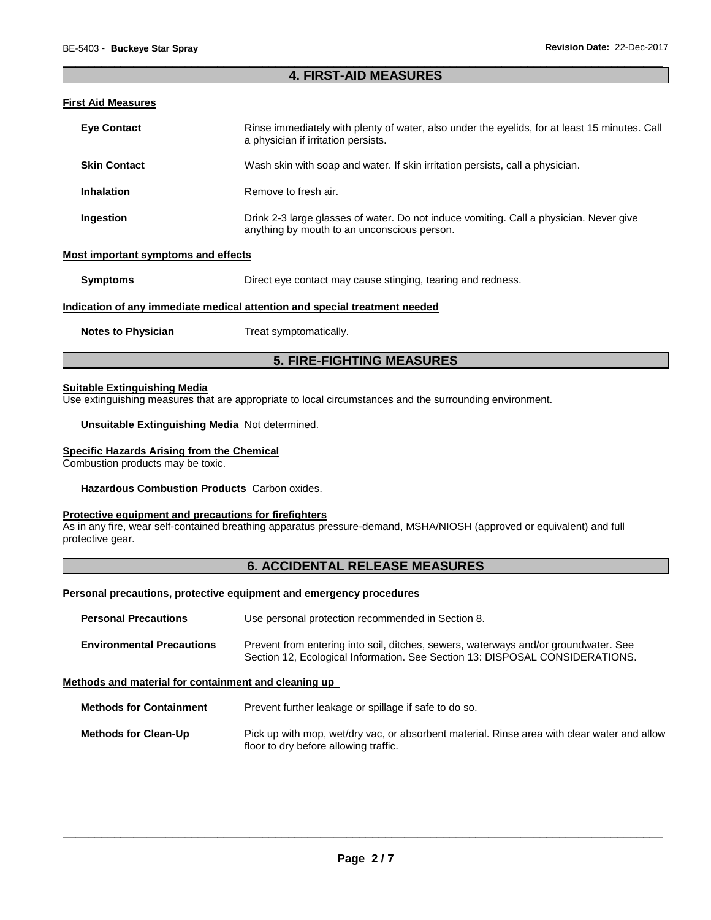## \_\_\_\_\_\_\_\_\_\_\_\_\_\_\_\_\_\_\_\_\_\_\_\_\_\_\_\_\_\_\_\_\_\_\_\_\_\_\_\_\_\_\_\_\_\_\_\_\_\_\_\_\_\_\_\_\_\_\_\_\_\_\_\_\_\_\_\_\_\_\_\_\_\_\_\_\_\_\_\_\_\_\_\_\_\_\_\_\_\_\_\_\_ **4. FIRST-AID MEASURES**

#### **First Aid Measures**

| <b>Eve Contact</b>                 | Rinse immediately with plenty of water, also under the eyelids, for at least 15 minutes. Call<br>a physician if irritation persists.  |
|------------------------------------|---------------------------------------------------------------------------------------------------------------------------------------|
| <b>Skin Contact</b>                | Wash skin with soap and water. If skin irritation persists, call a physician.                                                         |
| <b>Inhalation</b>                  | Remove to fresh air.                                                                                                                  |
| Ingestion                          | Drink 2-3 large glasses of water. Do not induce vomiting. Call a physician. Never give<br>anything by mouth to an unconscious person. |
| ost important symptoms and effects |                                                                                                                                       |

#### **Most important symptoms and effects**

**Symptoms** Direct eye contact may cause stinging, tearing and redness.

#### **Indication of any immediate medical attention and special treatment needed**

**Notes to Physician Treat symptomatically.** 

# **5. FIRE-FIGHTING MEASURES**

# **Suitable Extinguishing Media**

Use extinguishing measures that are appropriate to local circumstances and the surrounding environment.

#### **Unsuitable Extinguishing Media** Not determined.

#### **Specific Hazards Arising from the Chemical**

Combustion products may be toxic.

#### **Hazardous Combustion Products** Carbon oxides.

#### **Protective equipment and precautions for firefighters**

As in any fire, wear self-contained breathing apparatus pressure-demand, MSHA/NIOSH (approved or equivalent) and full protective gear.

# **6. ACCIDENTAL RELEASE MEASURES**

#### **Personal precautions, protective equipment and emergency procedures**

| <b>Personal Precautions</b>      | Use personal protection recommended in Section 8.                                                                                                                   |
|----------------------------------|---------------------------------------------------------------------------------------------------------------------------------------------------------------------|
| <b>Environmental Precautions</b> | Prevent from entering into soil, ditches, sewers, waterways and/or groundwater. See<br>Section 12, Ecological Information. See Section 13: DISPOSAL CONSIDERATIONS. |

#### **Methods and material for containment and cleaning up**

**Methods for Containment** Prevent further leakage or spillage if safe to do so.

**Methods for Clean-Up** Pick up with mop, wet/dry vac, or absorbent material. Rinse area with clear water and allow floor to dry before allowing traffic.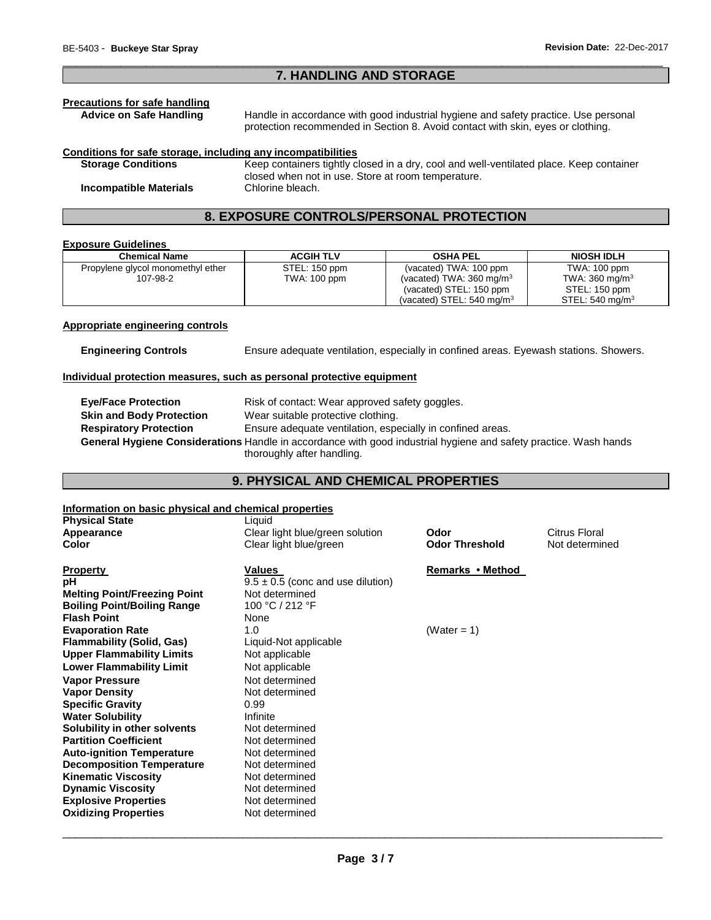# \_\_\_\_\_\_\_\_\_\_\_\_\_\_\_\_\_\_\_\_\_\_\_\_\_\_\_\_\_\_\_\_\_\_\_\_\_\_\_\_\_\_\_\_\_\_\_\_\_\_\_\_\_\_\_\_\_\_\_\_\_\_\_\_\_\_\_\_\_\_\_\_\_\_\_\_\_\_\_\_\_\_\_\_\_\_\_\_\_\_\_\_\_ **7. HANDLING AND STORAGE**

# **Precautions for safe handling**

Handle in accordance with good industrial hygiene and safety practice. Use personal protection recommended in Section 8. Avoid contact with skin, eyes or clothing.

#### **Conditions for safe storage, including any incompatibilities**

**Storage Conditions** Keep containers tightly closed in a dry, cool and well-ventilated place. Keep container closed when not in use. Store at room temperature. **Incompatible Materials** Chlorine bleach.

# **8. EXPOSURE CONTROLS/PERSONAL PROTECTION**

#### **Exposure Guidelines**

| <b>Chemical Name</b>              | <b>ACGIH TLV</b> | <b>OSHA PEL</b>                      | <b>NIOSH IDLH</b>         |
|-----------------------------------|------------------|--------------------------------------|---------------------------|
| Propylene glycol monomethyl ether | STEL: 150 ppm    | (vacated) TWA: 100 ppm               | TWA: 100 ppm              |
| 107-98-2                          | TWA: 100 ppm     | (vacated) TWA: $360 \text{ mg/m}^3$  | TWA: $360 \text{ mg/m}^3$ |
|                                   |                  | (vacated) STEL: 150 ppm              | STEL: 150 ppm             |
|                                   |                  | (vacated) STEL: $540 \text{ mg/m}^3$ | STEL: 540 mg/m $3$        |

#### **Appropriate engineering controls**

**Engineering Controls** Ensure adequate ventilation, especially in confined areas. Eyewash stations. Showers.

# **Individual protection measures, such as personal protective equipment**

| <b>Eve/Face Protection</b>      | Risk of contact: Wear approved safety goggles.                                                                   |
|---------------------------------|------------------------------------------------------------------------------------------------------------------|
| <b>Skin and Body Protection</b> | Wear suitable protective clothing.                                                                               |
| <b>Respiratory Protection</b>   | Ensure adequate ventilation, especially in confined areas.                                                       |
|                                 | General Hygiene Considerations Handle in accordance with good industrial hygiene and safety practice. Wash hands |
|                                 | thoroughly after handling.                                                                                       |

# **9. PHYSICAL AND CHEMICAL PROPERTIES**

#### **Information on basic physical and chemical properties**

| <b>Physical State</b>               | Liquid                                |                       |                |
|-------------------------------------|---------------------------------------|-----------------------|----------------|
| Appearance                          | Clear light blue/green solution       | Odor                  | Citrus Floral  |
| Color                               | Clear light blue/green                | <b>Odor Threshold</b> | Not determined |
| <b>Property</b>                     | Values                                | Remarks • Method      |                |
| рH                                  | $9.5 \pm 0.5$ (conc and use dilution) |                       |                |
| <b>Melting Point/Freezing Point</b> | Not determined                        |                       |                |
| <b>Boiling Point/Boiling Range</b>  | 100 °C / 212 °F                       |                       |                |
| <b>Flash Point</b>                  | None                                  |                       |                |
| <b>Evaporation Rate</b>             | 1.0                                   | (Water = $1$ )        |                |
| Flammability (Solid, Gas)           | Liquid-Not applicable                 |                       |                |
| <b>Upper Flammability Limits</b>    | Not applicable                        |                       |                |
|                                     |                                       |                       |                |
| <b>Lower Flammability Limit</b>     | Not applicable                        |                       |                |
| <b>Vapor Pressure</b>               | Not determined                        |                       |                |
| <b>Vapor Density</b>                | Not determined                        |                       |                |
| <b>Specific Gravity</b>             | 0.99                                  |                       |                |
| <b>Water Solubility</b>             | Infinite                              |                       |                |
| Solubility in other solvents        | Not determined                        |                       |                |
| <b>Partition Coefficient</b>        | Not determined                        |                       |                |
| <b>Auto-ignition Temperature</b>    | Not determined                        |                       |                |
| <b>Decomposition Temperature</b>    | Not determined                        |                       |                |
| <b>Kinematic Viscosity</b>          | Not determined                        |                       |                |
| <b>Dynamic Viscosity</b>            | Not determined                        |                       |                |
| <b>Explosive Properties</b>         | Not determined                        |                       |                |
| <b>Oxidizing Properties</b>         | Not determined                        |                       |                |
|                                     |                                       |                       |                |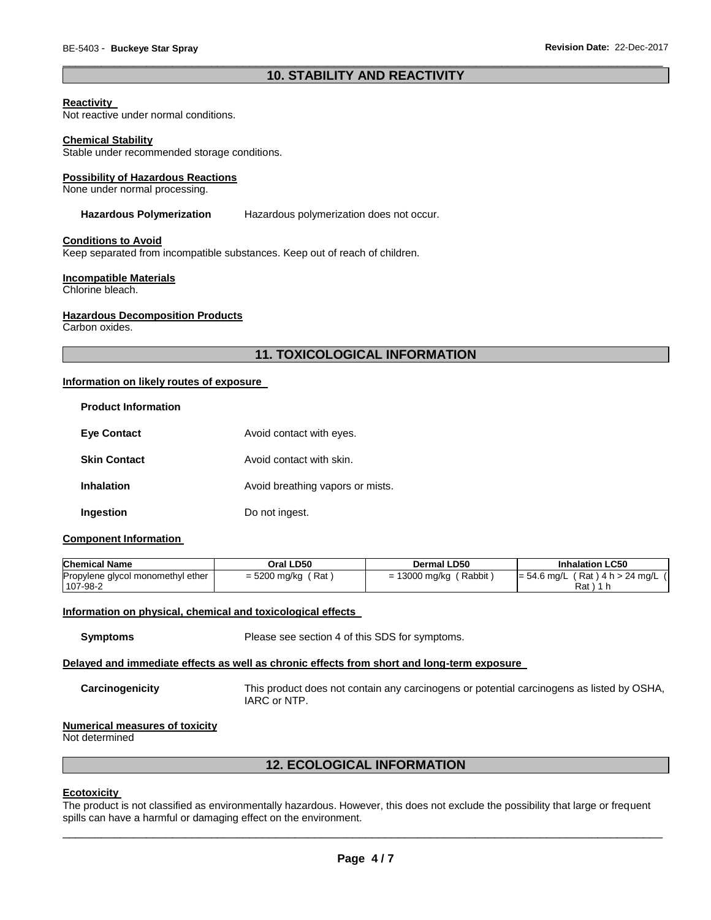# \_\_\_\_\_\_\_\_\_\_\_\_\_\_\_\_\_\_\_\_\_\_\_\_\_\_\_\_\_\_\_\_\_\_\_\_\_\_\_\_\_\_\_\_\_\_\_\_\_\_\_\_\_\_\_\_\_\_\_\_\_\_\_\_\_\_\_\_\_\_\_\_\_\_\_\_\_\_\_\_\_\_\_\_\_\_\_\_\_\_\_\_\_ **10. STABILITY AND REACTIVITY**

#### **Reactivity**

Not reactive under normal conditions.

#### **Chemical Stability**

Stable under recommended storage conditions.

#### **Possibility of Hazardous Reactions**

None under normal processing.

#### **Hazardous Polymerization** Hazardous polymerization does not occur.

#### **Conditions to Avoid**

Keep separated from incompatible substances. Keep out of reach of children.

#### **Incompatible Materials**

Chlorine bleach.

#### **Hazardous Decomposition Products**

Carbon oxides.

# **11. TOXICOLOGICAL INFORMATION**

#### **Information on likely routes of exposure**

| <b>Product Information</b> |                                  |
|----------------------------|----------------------------------|
| <b>Eve Contact</b>         | Avoid contact with eyes.         |
| <b>Skin Contact</b>        | Avoid contact with skin.         |
| <b>Inhalation</b>          | Avoid breathing vapors or mists. |
| Ingestion                  | Do not ingest.                   |

#### **Component Information**

| <b>Chemical Name</b>              | Oral LD50            | Dermal LD50              | <b>Inhalation LC50</b>              |
|-----------------------------------|----------------------|--------------------------|-------------------------------------|
| Propylene glycol monomethyl ether | $=$ 5200 mg/kg (Rat) | (Rabbit<br>= 13000 mg/kg | $= 54.6$ mg/L (Rat) 4 h > 24 mg/L ( |
| 107-98-2                          |                      |                          | Rat ) 1 h                           |

#### **Information on physical, chemical and toxicological effects**

**Symptoms** Please see section 4 of this SDS for symptoms.

#### **Delayed and immediate effects as well as chronic effects from short and long-term exposure**

**Carcinogenicity** This product does not contain any carcinogens or potential carcinogens as listed by OSHA, IARC or NTP.

#### **Numerical measures of toxicity**

Not determined

#### **12. ECOLOGICAL INFORMATION**

#### **Ecotoxicity**

The product is not classified as environmentally hazardous. However, this does not exclude the possibility that large or frequent spills can have a harmful or damaging effect on the environment.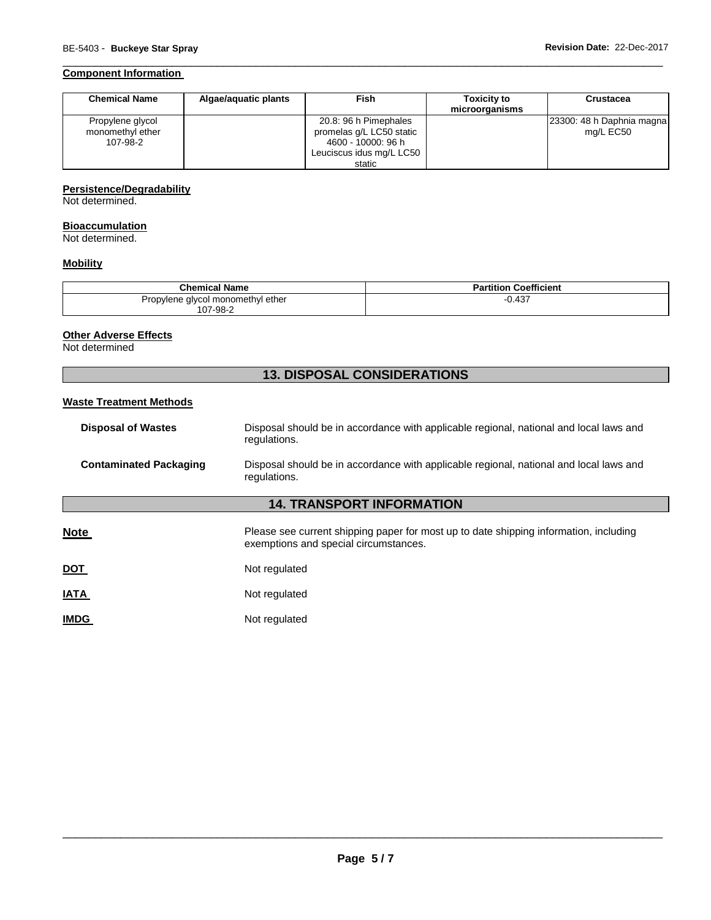# **Component Information**

| <b>Chemical Name</b>                             | Algae/aguatic plants | Fish                                                                    | <b>Toxicity to</b><br>microorganisms | <b>Crustacea</b>                       |
|--------------------------------------------------|----------------------|-------------------------------------------------------------------------|--------------------------------------|----------------------------------------|
| Propylene glycol<br>monomethyl ether<br>107-98-2 |                      | 20.8: 96 h Pimephales<br>promelas q/L LC50 static<br>4600 - 10000: 96 h |                                      | 23300: 48 h Daphnia magna<br>mg/L EC50 |
|                                                  |                      | Leuciscus idus mg/L LC50<br>static                                      |                                      |                                        |

\_\_\_\_\_\_\_\_\_\_\_\_\_\_\_\_\_\_\_\_\_\_\_\_\_\_\_\_\_\_\_\_\_\_\_\_\_\_\_\_\_\_\_\_\_\_\_\_\_\_\_\_\_\_\_\_\_\_\_\_\_\_\_\_\_\_\_\_\_\_\_\_\_\_\_\_\_\_\_\_\_\_\_\_\_\_\_\_\_\_\_\_\_

# **Persistence/Degradability**

Not determined.

#### **Bioaccumulation**

Not determined.

# **Mobility**

| <b>Chemical Name</b>                          | <b>Partition Coefficient</b> |
|-----------------------------------------------|------------------------------|
| Propylene glycol monomethyl ether<br>107-98-2 | 0.437                        |

# **Other Adverse Effects**

Not determined

# **13. DISPOSAL CONSIDERATIONS**

# **Waste Treatment Methods**

| <b>Disposal of Wastes</b>        | Disposal should be in accordance with applicable regional, national and local laws and<br>regulations.                         |  |
|----------------------------------|--------------------------------------------------------------------------------------------------------------------------------|--|
| <b>Contaminated Packaging</b>    | Disposal should be in accordance with applicable regional, national and local laws and<br>regulations.                         |  |
| <b>14. TRANSPORT INFORMATION</b> |                                                                                                                                |  |
| <b>Note</b>                      | Please see current shipping paper for most up to date shipping information, including<br>exemptions and special circumstances. |  |
| <u>DOT</u>                       | Not regulated                                                                                                                  |  |
| <b>IATA</b>                      | Not regulated                                                                                                                  |  |
| <b>IMDG</b>                      | Not regulated                                                                                                                  |  |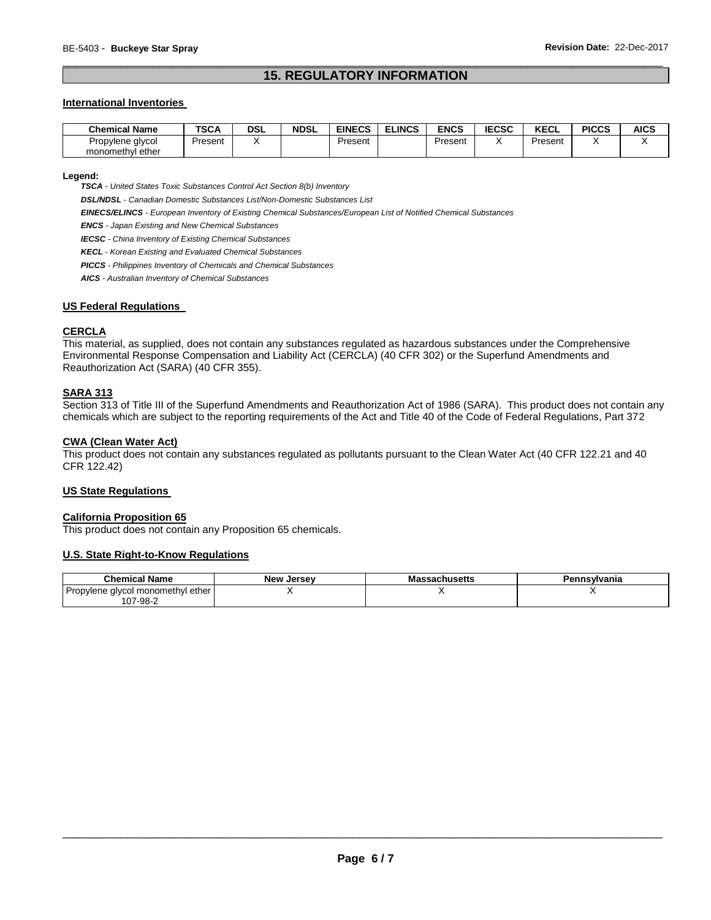# \_\_\_\_\_\_\_\_\_\_\_\_\_\_\_\_\_\_\_\_\_\_\_\_\_\_\_\_\_\_\_\_\_\_\_\_\_\_\_\_\_\_\_\_\_\_\_\_\_\_\_\_\_\_\_\_\_\_\_\_\_\_\_\_\_\_\_\_\_\_\_\_\_\_\_\_\_\_\_\_\_\_\_\_\_\_\_\_\_\_\_\_\_ **15. REGULATORY INFORMATION**

#### **International Inventories**

| <b>Chemical Name</b> | <b>TSCA</b> | DSL | <b>NDSL</b> | <b>EINECS</b> | <b>ELINCS</b> | <b>ENCS</b> | <b>IECSC</b> | <b>KECL</b> | <b>PICCS</b> | <b>AICS</b> |
|----------------------|-------------|-----|-------------|---------------|---------------|-------------|--------------|-------------|--------------|-------------|
| Propylene glycol     | Present     |     |             | Present       |               | Present     |              | Present     |              |             |
| monomethyl ether     |             |     |             |               |               |             |              |             |              |             |

#### **Legend:**

*TSCA - United States Toxic Substances Control Act Section 8(b) Inventory* 

*DSL/NDSL - Canadian Domestic Substances List/Non-Domestic Substances List* 

*EINECS/ELINCS - European Inventory of Existing Chemical Substances/European List of Notified Chemical Substances* 

*ENCS - Japan Existing and New Chemical Substances* 

*IECSC - China Inventory of Existing Chemical Substances* 

*KECL - Korean Existing and Evaluated Chemical Substances* 

*PICCS - Philippines Inventory of Chemicals and Chemical Substances* 

*AICS - Australian Inventory of Chemical Substances* 

#### **US Federal Regulations**

# **CERCLA**

This material, as supplied, does not contain any substances regulated as hazardous substances under the Comprehensive Environmental Response Compensation and Liability Act (CERCLA) (40 CFR 302) or the Superfund Amendments and Reauthorization Act (SARA) (40 CFR 355).

#### **SARA 313**

Section 313 of Title III of the Superfund Amendments and Reauthorization Act of 1986 (SARA). This product does not contain any chemicals which are subject to the reporting requirements of the Act and Title 40 of the Code of Federal Regulations, Part 372

#### **CWA (Clean Water Act)**

This product does not contain any substances regulated as pollutants pursuant to the Clean Water Act (40 CFR 122.21 and 40 CFR 122.42)

# **US State Regulations**

#### **California Proposition 65**

This product does not contain any Proposition 65 chemicals.

#### **U.S. State Right-to-Know Regulations**

| <b>Chemical Name</b>              | <b>New Jersey</b> | <b>Massachusetts</b> | Pennsvlvania |
|-----------------------------------|-------------------|----------------------|--------------|
| Propylene glycol monomethyl ether |                   |                      |              |
| 107-98-2                          |                   |                      |              |